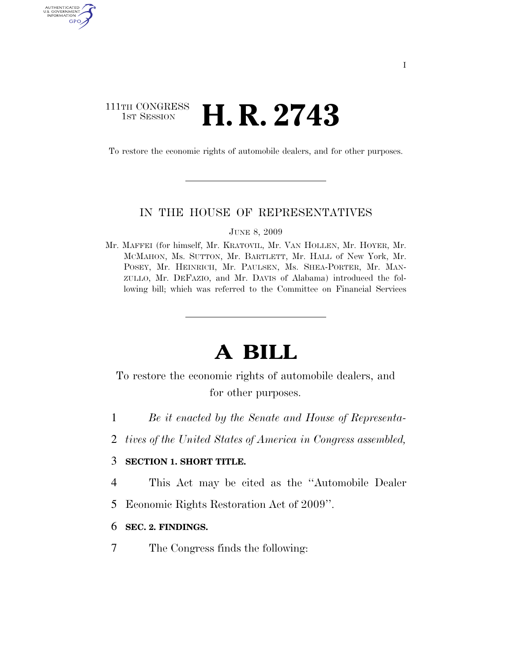# 111TH CONGRESS <sup>TH CONGRESS</sup> **H. R. 2743**

AUTHENTICATE U.S. GOVERNMENT GPO

To restore the economic rights of automobile dealers, and for other purposes.

### IN THE HOUSE OF REPRESENTATIVES

JUNE 8, 2009

Mr. MAFFEI (for himself, Mr. KRATOVIL, Mr. VAN HOLLEN, Mr. HOYER, Mr. MCMAHON, Ms. SUTTON, Mr. BARTLETT, Mr. HALL of New York, Mr. POSEY, Mr. HEINRICH, Mr. PAULSEN, Ms. SHEA-PORTER, Mr. MAN-ZULLO, Mr. DEFAZIO, and Mr. DAVIS of Alabama) introduced the following bill; which was referred to the Committee on Financial Services

# **A BILL**

To restore the economic rights of automobile dealers, and for other purposes.

- 1 *Be it enacted by the Senate and House of Representa-*
- 2 *tives of the United States of America in Congress assembled,*

## 3 **SECTION 1. SHORT TITLE.**

- 4 This Act may be cited as the ''Automobile Dealer
- 5 Economic Rights Restoration Act of 2009''.

#### 6 **SEC. 2. FINDINGS.**

7 The Congress finds the following: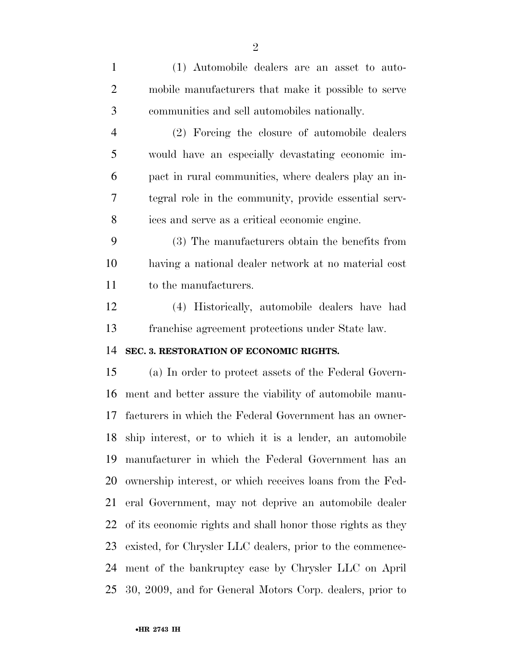(1) Automobile dealers are an asset to auto- mobile manufacturers that make it possible to serve communities and sell automobiles nationally. (2) Forcing the closure of automobile dealers would have an especially devastating economic im- pact in rural communities, where dealers play an in- tegral role in the community, provide essential serv- ices and serve as a critical economic engine. (3) The manufacturers obtain the benefits from having a national dealer network at no material cost to the manufacturers. (4) Historically, automobile dealers have had franchise agreement protections under State law. **SEC. 3. RESTORATION OF ECONOMIC RIGHTS.**  (a) In order to protect assets of the Federal Govern- ment and better assure the viability of automobile manu- facturers in which the Federal Government has an owner- ship interest, or to which it is a lender, an automobile manufacturer in which the Federal Government has an ownership interest, or which receives loans from the Fed- eral Government, may not deprive an automobile dealer of its economic rights and shall honor those rights as they existed, for Chrysler LLC dealers, prior to the commence- ment of the bankruptcy case by Chrysler LLC on April 30, 2009, and for General Motors Corp. dealers, prior to

•**HR 2743 IH**